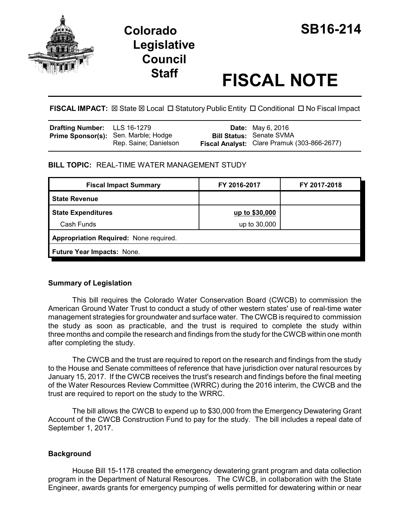

# **Colorado SB16-214 Legislative Council**

# **Staff FISCAL NOTE**

FISCAL IMPACT:  $\boxtimes$  State  $\boxtimes$  Local  $\Box$  Statutory Public Entity  $\Box$  Conditional  $\Box$  No Fiscal Impact

| <b>Drafting Number:</b> LLS 16-1279 |                                                                      | <b>Date:</b> May 6, 2016                                                       |
|-------------------------------------|----------------------------------------------------------------------|--------------------------------------------------------------------------------|
|                                     | <b>Prime Sponsor(s):</b> Sen. Marble; Hodge<br>Rep. Saine; Danielson | <b>Bill Status: Senate SVMA</b><br>Fiscal Analyst: Clare Pramuk (303-866-2677) |

## **BILL TOPIC:** REAL-TIME WATER MANAGEMENT STUDY

| <b>Fiscal Impact Summary</b>           | FY 2016-2017   | FY 2017-2018 |  |  |
|----------------------------------------|----------------|--------------|--|--|
| <b>State Revenue</b>                   |                |              |  |  |
| <b>State Expenditures</b>              | up to \$30,000 |              |  |  |
| Cash Funds                             | up to 30,000   |              |  |  |
| Appropriation Required: None required. |                |              |  |  |
| Future Year Impacts: None.             |                |              |  |  |

# **Summary of Legislation**

This bill requires the Colorado Water Conservation Board (CWCB) to commission the American Ground Water Trust to conduct a study of other western states' use of real-time water management strategies for groundwater and surface water. The CWCB is required to commission the study as soon as practicable, and the trust is required to complete the study within three months and compile the research and findings from the study for the CWCB within one month after completing the study.

The CWCB and the trust are required to report on the research and findings from the study to the House and Senate committees of reference that have jurisdiction over natural resources by January 15, 2017. If the CWCB receives the trust's research and findings before the final meeting of the Water Resources Review Committee (WRRC) during the 2016 interim, the CWCB and the trust are required to report on the study to the WRRC.

The bill allows the CWCB to expend up to \$30,000 from the Emergency Dewatering Grant Account of the CWCB Construction Fund to pay for the study. The bill includes a repeal date of September 1, 2017.

# **Background**

House Bill 15-1178 created the emergency dewatering grant program and data collection program in the Department of Natural Resources. The CWCB, in collaboration with the State Engineer, awards grants for emergency pumping of wells permitted for dewatering within or near